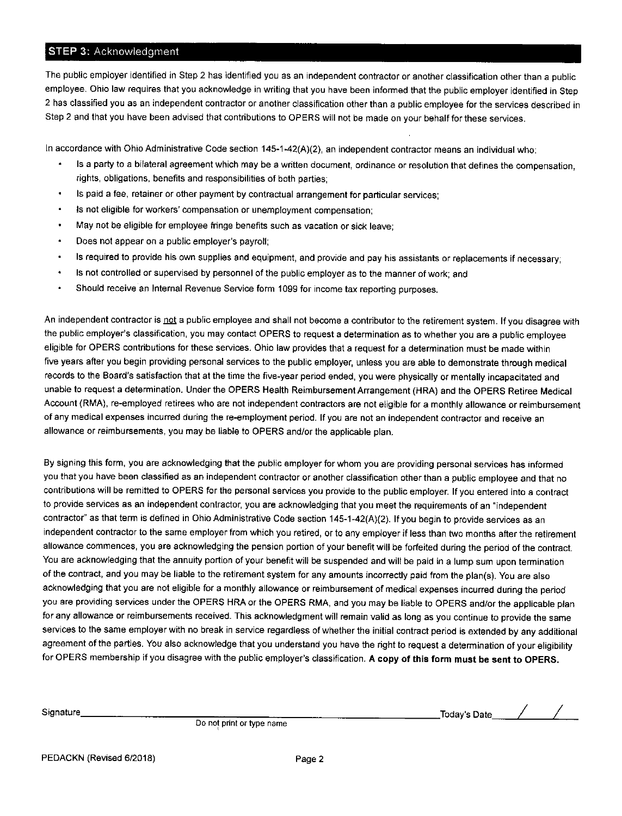## **STEP 3: Acknowledament**

The public employer identified in Step 2 has identified you as an independent contractor or another classification other than a public employee. Ohio law requires that you acknowledge in writing that you have been informed that the public employer identified in Step 2 has classified you as an independent contractor or another classification other than a public employee for the services described in Step 2 and that you have been advised that contributions to OPERS will not be made on your behalf for these services.

In accordance with Ohio Administrative Code section 145-1-42(A)(2), an independent contractor means an individual who:

- Is a party to a bilateral agreement which may be a written document, ordinance or resolution that defines the compensation, rights, obligations, benefits and responsibilities of both parties,
- . ls paid a fee, retainer or other payment by contractual arrangement for particular services;
- . ls not eligible for workers' compensation or unemployment compensation;
- . May not be eligible for employee fringe benefits such as vacation or sick leave;
- . Does not appear on a public employer's payroll;
- ' ls required to provide his own supplies and equipment, and provide and pay his assistants or replacements if necessary;
- . ls not controlled or supervised by personnel of the public employer as to the manner of work; and
- . Should receive an Internal Revenue Service form 1099 for income tax reporting purposes.

An independent contractor is not a public employee and shall not become a contributor to the retirement system. If you disagree with the public employer's classification, you may contact OPERS to request a determination as to whether you are a public employee eligible for OPERS contributions for these services. Ohio law provides that a request for a determination must be made within five years after you begin providing personal services to the public employer, unless you are able to demonstrate through medical records to the Board's satisfaction that at the time the five-year period ended, you were physically or mentally incapacitated and unable to request a determination. Under the OPERS Health Reimbursement Arrangement (HRA) and the OPERS Retiree Medical Account (RMA), re-employed retirees who are not independent contractors are not eligible for a monthly allowance or reimbursement of any medical expenses incurred during the re-employment period. If you are not an independent contractor and receive an allowance or feimbursements, you may be liable to OPERS and/or the applicable plan.

By signing this form, you are acknowledging that the public employer for whom you are providing personal services has informed you that you have been classified as an independent contractor or another classification other than a public employee and that no contributions will be remitted to OPERS for the personal services you provide to the public employer lf you entered into a contract to provide services as an independent contractor, you are acknowledging that you meet the requirements of an "independent contractor" as that term is defined in Ohio Administrative Code section 145-1-42(A)(2). If you begin to provide services as an independent contractor to the same employer from which you retired, or to any employer if less than two months after the retirement allowance commences, you are acknowledging the pension portion of your benefit will be forfeited during the period of the contract. You are acknowledging that the annuity portion of your benefit will be suspended and will be paid in a lump sum upon termination of the contract, and you may be liable to the retirement system for any amounts incorrectly paid from the plan(s). You are also acknowledging that you are not eligible for a monthly allowance or reimbursement of medical expenses incurred during the period you are providing services under the OPERS HRA or the OPERS RMA, and you may be liable to OPERS and/or the applicable plan for any allowance or reimbursements received. This acknowledgment will remain valid as long as you continue to provide the same services to the same employer with no break in service regardless ofwhether the initial contract period is extended by any additional agreement of the parties. You also acknowledge that you understand you have the right to request a determination of your eligibility for OPERS membership if you disagree with the public employer's classification. A copy of this form must be sent to OpERS.

Signature

Do not print or type name

Today's Date